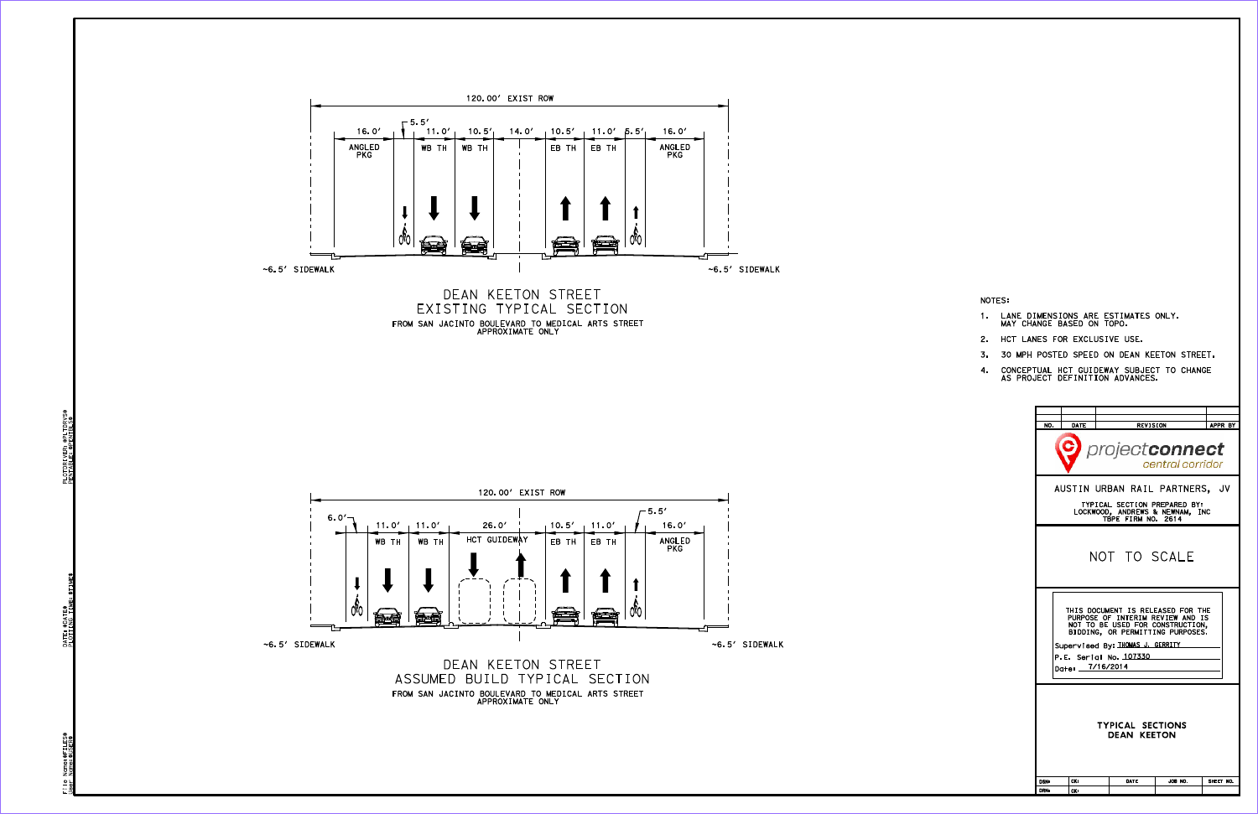

120.00' EXIST ROW

 $-5.5'$ 

PLOTDRIVER: \$PLTDRVS\$<br>PENTABLE: \$PENTBLS\$ \$PENTBLS\$ PENTABLE:

FILE PLOTDRIVER: PLOTDRIVER: PLOTDRIVER: PLOTDRIVER: PLOTDRIVER: PLOTDRIVER: PLOTDRIVER: PLOTDRIVER: PLOTDRIVS\$ \$TIME\$ \$P<br>\$P\$<br>\$P\$ DATE: PLOTTING TIME:

Name: \$FILES\$<br>Name: \$USER\$ \$FILES\$ User Name:\$USER\$ File<br>User

| NO.<br>DATE<br><b>REVISION</b><br>APPR BY<br>projectconnect<br>central corridor<br>AUSTIN URBAN RAIL PARTNERS, JV<br>TYPICAL SECTION PREPARED BY:<br>LOCKWOOD, ANDREWS & NEWNAM, INC<br>TBPE FIRM NO. 2614<br>NOT TO SCALE<br>THIS DOCUMENT IS RELEASED FOR THE<br>PURPOSE OF INTERIM REVIEW AND IS<br>NOT TO BE USED FOR CONSTRUCTION,<br>BIDDING, OR PERMITTING PURPOSES.<br>Supervised By: THOMAS J. GERRITY<br>P.E. Serial No. 107330<br>Date: _7/16/2014<br><b>TYPICAL SECTIONS</b><br><b>DEAN KEETON</b><br>CKs<br>DATE<br>JOB NO.<br>SHEET NO.<br><b>DSNs</b><br><b>DRNs</b><br>CKs |  |  |  |  |  |  |  |  |
|--------------------------------------------------------------------------------------------------------------------------------------------------------------------------------------------------------------------------------------------------------------------------------------------------------------------------------------------------------------------------------------------------------------------------------------------------------------------------------------------------------------------------------------------------------------------------------------------|--|--|--|--|--|--|--|--|
|                                                                                                                                                                                                                                                                                                                                                                                                                                                                                                                                                                                            |  |  |  |  |  |  |  |  |
|                                                                                                                                                                                                                                                                                                                                                                                                                                                                                                                                                                                            |  |  |  |  |  |  |  |  |
|                                                                                                                                                                                                                                                                                                                                                                                                                                                                                                                                                                                            |  |  |  |  |  |  |  |  |
|                                                                                                                                                                                                                                                                                                                                                                                                                                                                                                                                                                                            |  |  |  |  |  |  |  |  |
|                                                                                                                                                                                                                                                                                                                                                                                                                                                                                                                                                                                            |  |  |  |  |  |  |  |  |
|                                                                                                                                                                                                                                                                                                                                                                                                                                                                                                                                                                                            |  |  |  |  |  |  |  |  |
|                                                                                                                                                                                                                                                                                                                                                                                                                                                                                                                                                                                            |  |  |  |  |  |  |  |  |
|                                                                                                                                                                                                                                                                                                                                                                                                                                                                                                                                                                                            |  |  |  |  |  |  |  |  |
|                                                                                                                                                                                                                                                                                                                                                                                                                                                                                                                                                                                            |  |  |  |  |  |  |  |  |

NOTES:

- 1. LANE DIMENSIONS ARE ESTIMATES ONLY.<br>MAY CHANGE BASED ON TOPO.
- 2. HCT LANES FOR EXCLUSIVE USE.
- 3. 30 MPH POSTED SPEED ON DEAN KEETON STREET.
- 4. CONCEPTUAL HCT GUIDEWAY SUBJECT TO CHANGE<br>AS PROJECT DEFINITION ADVANCES.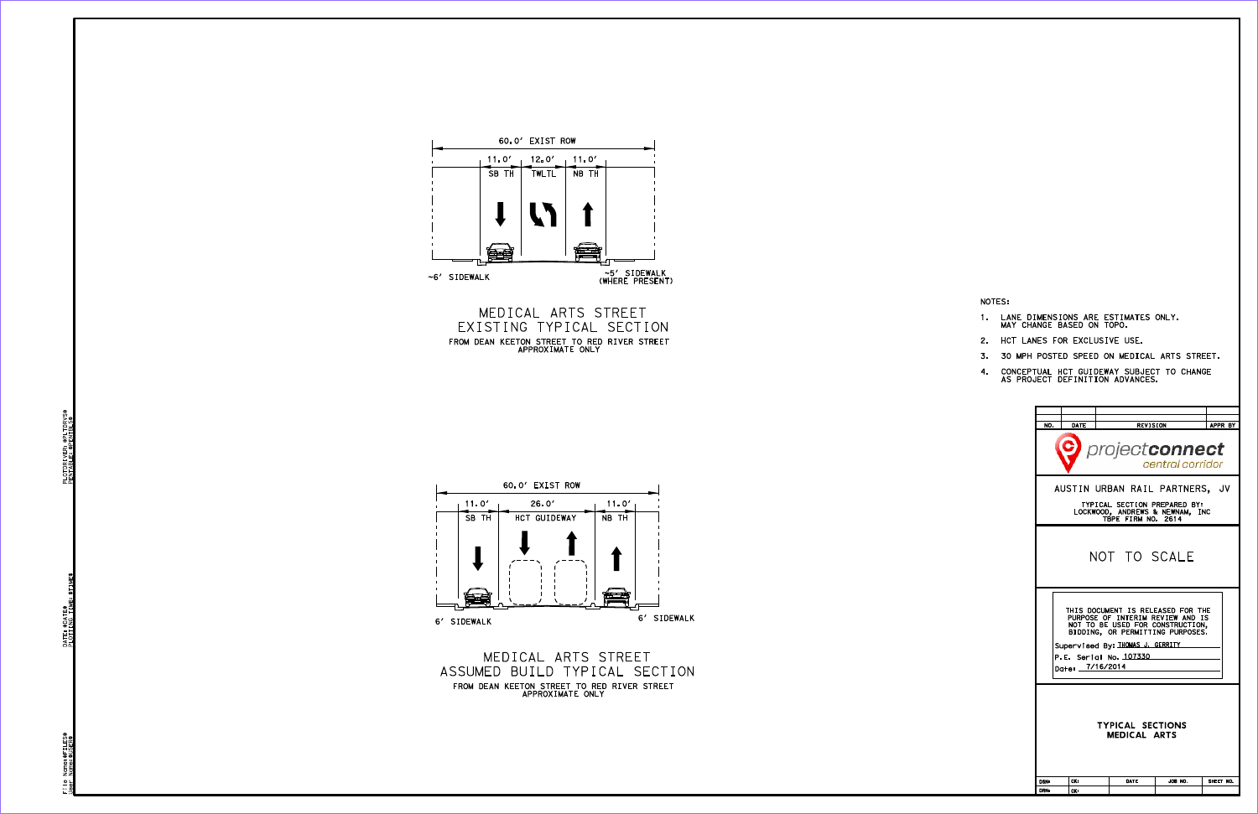EXISTING TYPICAL SECTION MEDICAL ARTS STREET FROM DEAN KEETON STREET TO RED RIVER STREET<br>APPROXIMATE ONLY





FROM DEAN KEETON STREET TO RED RIVER STREET<br>APPROXIMATE ONLY ASSUMED BUILD TYPICAL SECTION MEDICAL ARTS STREET

| NO.                                                                                                                                                                                                                                           | <b>DATE</b>                                                                                                             |              |         | APPR BY   |  |  |  |
|-----------------------------------------------------------------------------------------------------------------------------------------------------------------------------------------------------------------------------------------------|-------------------------------------------------------------------------------------------------------------------------|--------------|---------|-----------|--|--|--|
| <b>REVISION</b><br>projectconnect<br>central corridor                                                                                                                                                                                         |                                                                                                                         |              |         |           |  |  |  |
|                                                                                                                                                                                                                                               | AUSTIN URBAN RAIL PARTNERS, JV<br>TYPICAL SECTION PREPARED BY:<br>LOCKWOOD, ANDREWS & NEWNAM. INC<br>TBPE FIRM NO. 2614 |              |         |           |  |  |  |
|                                                                                                                                                                                                                                               |                                                                                                                         | NOT TO SCALE |         |           |  |  |  |
| THIS DOCUMENT IS RELEASED FOR THE<br>PURPOSE OF INTERIM REVIEW AND IS<br>NOT TO BE USED FOR CONSTRUCTION.<br>BIDDING, OR PERMITTING PURPOSES.<br>Supervised By: THOMAS J. GERRITY<br>P.E. Serial No. <u>107330</u><br>Date: <u>7/16/</u> 2014 |                                                                                                                         |              |         |           |  |  |  |
| <b>TYPICAL SECTIONS</b><br><b>MEDICAL ARTS</b>                                                                                                                                                                                                |                                                                                                                         |              |         |           |  |  |  |
| <b>DSNs</b>                                                                                                                                                                                                                                   | CK:                                                                                                                     | DATE         | JOB NO. | SHEET NO. |  |  |  |
| <b>DRNs</b>                                                                                                                                                                                                                                   | CKs                                                                                                                     |              |         |           |  |  |  |
|                                                                                                                                                                                                                                               |                                                                                                                         |              |         |           |  |  |  |

NOTES:

- 1. LANE DIMENSIONS ARE ESTIMATES ONLY.<br>MAY CHANGE BASED ON TOPO.
- 2. HCT LANES FOR EXCLUSIVE USE.
- 3. 30 MPH POSTED SPEED ON MEDICAL ARTS STREET.
- 4. CONCEPTUAL HCT GUIDEWAY SUBJECT TO CHANGE<br>AS PROJECT DEFINITION ADVANCES.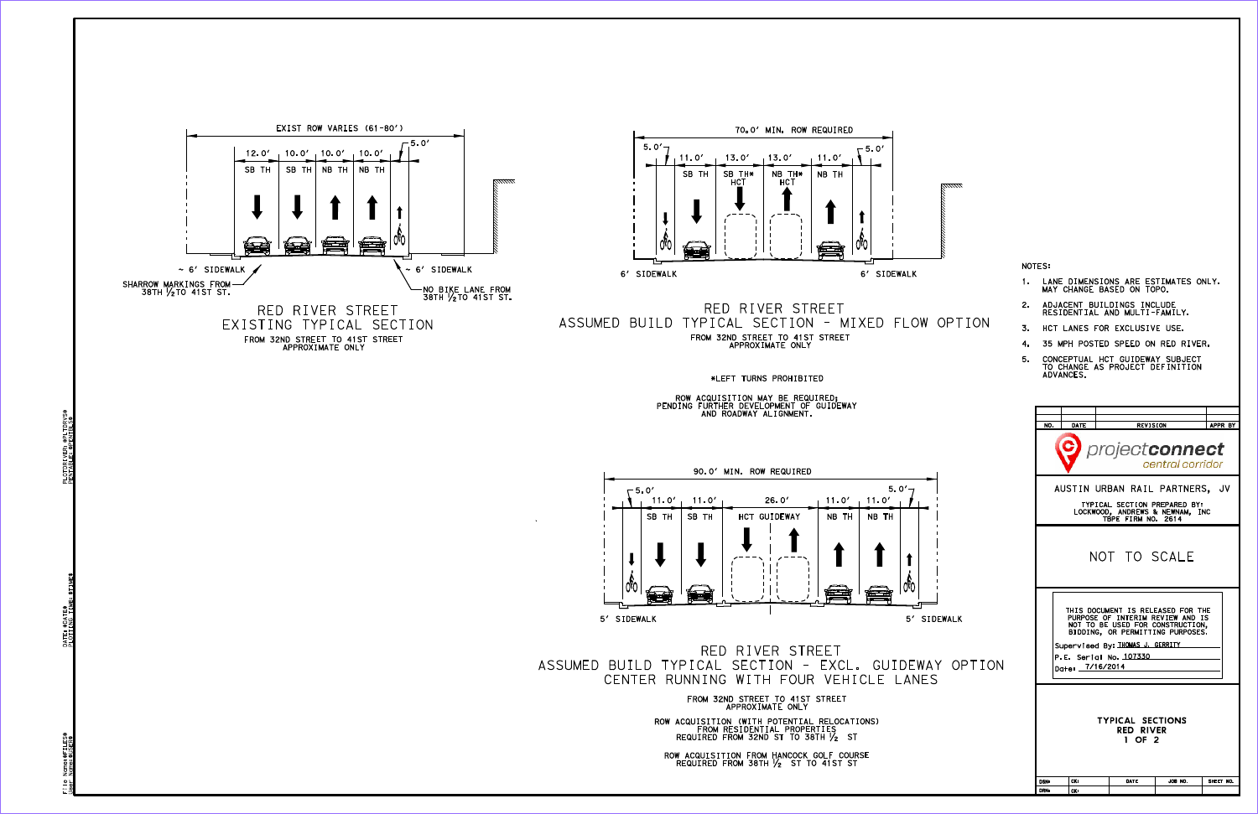\*LEFT TURNS PROHIBITED

HOW ACQUISITION MAY BE REQUIRED;<br>PENDING FURTHER DEVELOPMENT OF GUIDEWAY<br>AND ROADWAY ALIGNMENT.

2. ADJACENT BUILDINGS INCLUDE<br>RESIDENTIAL AND MULTI-FAMILY. MAY CHANGE BASED ON TOPO.

C





PLOTDRIVER: \$PLTDRVS\$<br>PENTABLE: \$PENTBLS\$ \$PENTBLS\$ PENTABLE:

Name: \$FILES\$<br>Name: \$USER\$ \$FILES\$ User Name:\$USER\$  $-\frac{\Phi}{\Phi}$ 



Supervised By: <u>THOMAS J. GERRITY</u> THIS DOCUMENT IS RELEASED FOR THE<br>PURPOSE OF INTERIM REVIEW AND IS<br>NOT TO BE USED FOR CONSTRUCTION,<br>BIDDING, OR PERMITTING PURPOSES.

OSN: CK: DATE JOB NO. SHEET NO.





TYPICAL SECTION PREPARED BY:<br>LOCKWOOD, ANDREWS & NEWNAM, INC<br>TBPE FIRM NO. 2614 AUSTIN URBAN RAIL PARTNERS, JV

NO. DATE REVISION APPR BY

project**connect** 

central corridor

CENTER RUNNING WITH FOUR VEHICLE LANES ASSUMED BUILD TYPICAL SECTION - EXCL. GUIDEWAY OPTION RED RIVER STREET

> FROM SZND SIREET TO 41ST SIREET<br>APPROXIMATE ONLY ROW ACQUISITION (WITH POTENTIAL RELOCATIONS)<br>FROM RESIDENTIAL PROPERTIES<br>REQUIRED FROM 32ND ST TO 38TH ½ ST

ROW ACQUISITION FROM HANCOCK GOLF COURSE<br>REQUIRED FROM 38TH  $V_2$  ST TO 41ST ST

- ADVANCES. 5. CONCEPTUAL HCT GUIDEWAY SUBJECT<br>TO CHANGE AS PROJECT DEFINITION
- 4. 35 MPH POSTED SPEED ON RED RIVER.
- 3. HCT LANES FOR EXCLUSIVE USE.
- 

1. LANE DIMENSIONS ARE ESTIMATES ONLY.

NOTES:

- 
- 

- 
- NOT TO SCALE

1 OF 2 RED RIVER TYPICAL SECTIONS

JOB NO.

Date: <u>7/16/2014</u>

P.E. Serial No. <u>107330</u>

Tex: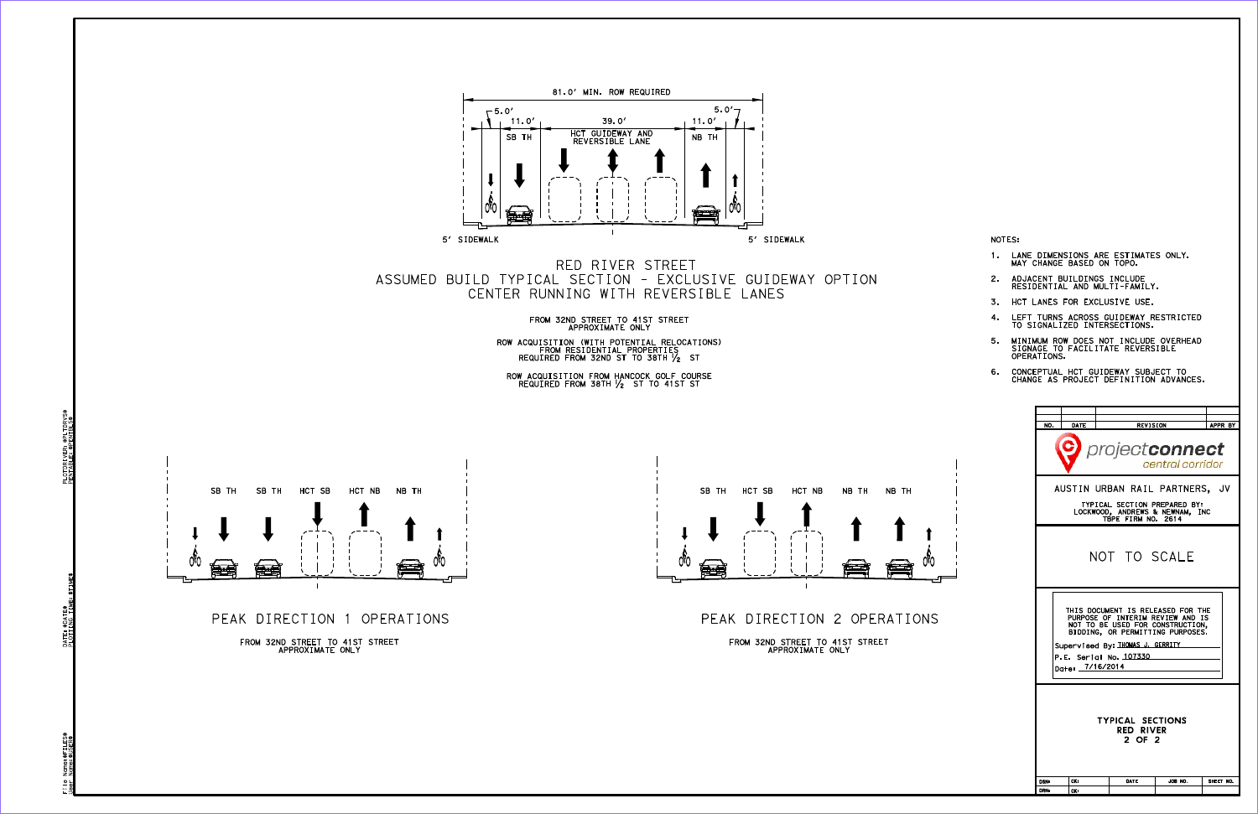



- 6. CONCEPTUAL HCT GUIDEWAY SUBJECT TO<br>CHANGE AS PROJECT DEFINITION ADVANCES.
- 5. MINIMUM ROW DOES NOT INCLUDE OVERHEAD<br>SIGNAGE TO FACILITATE REVERSIBLE<br>OPERATIONS.
- 
- 4. LEFT TURNS ACROSS GUIDEWAY RESTRICTED<br>TO SIGNALIZED INTERSECTIONS. 3. HCT LANES FOR EXCLUSIVE USE.

1. LANE DIMENSIONS ARE ESTIMATES ONLY.<br>MAY CHANGE BASED ON TOPO.

2. ADJACENT BUILDINGS INCLUDE<br>RESIDENTIAL AND MULTI-FAMILY.

PEAK DIRECTION 1 OPERATIONS

FROM SZND SIREET TO 41ST SIREET<br>APPROXIMATE ONLY

NOTES:

CENTER RUNNING WITH REVERSIBLE LANES ASSUMED BUILD TYPICAL SECTION - EXCLUSIVE GUIDEWAY OPTION RED RIVER STREET

> FROM SZND SIREET TO 41ST SIREET<br>APPROXIMATE ONLY ROW ACQUISITION (WITH POTENTIAL RELOCATIONS)<br>FROM RESIDENTIAL PROPERTIES<br>REQUIRED FROM 32ND ST TO 38TH ½ ST

ROW ACQUISITION FROM HANCOCK GOLF COURSE<br>REQUIRED FROM 38TH  $\frac{1}{2}$  ST TO 41ST ST





Name: \$FILES\$<br>Name: \$USER\$ \$FILES\$ User Name:\$USER\$ File<br>User